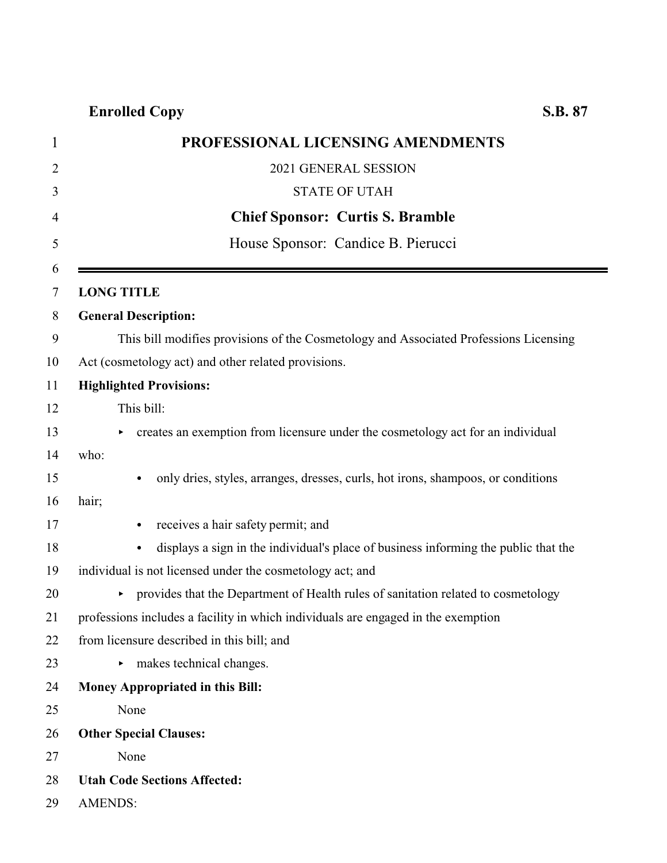# **Enrolled Copy S.B. 87**

| PROFESSIONAL LICENSING AMENDMENTS                                                                |
|--------------------------------------------------------------------------------------------------|
| 2021 GENERAL SESSION                                                                             |
| <b>STATE OF UTAH</b>                                                                             |
| <b>Chief Sponsor: Curtis S. Bramble</b>                                                          |
| House Sponsor: Candice B. Pierucci                                                               |
| <b>LONG TITLE</b>                                                                                |
| <b>General Description:</b>                                                                      |
| This bill modifies provisions of the Cosmetology and Associated Professions Licensing            |
| Act (cosmetology act) and other related provisions.                                              |
| <b>Highlighted Provisions:</b>                                                                   |
| This bill:                                                                                       |
| creates an exemption from licensure under the cosmetology act for an individual                  |
| who:                                                                                             |
| only dries, styles, arranges, dresses, curls, hot irons, shampoos, or conditions<br>$\bullet$    |
| hair;                                                                                            |
| receives a hair safety permit; and<br>$\bullet$                                                  |
| displays a sign in the individual's place of business informing the public that the<br>$\bullet$ |
| individual is not licensed under the cosmetology act; and                                        |
| provides that the Department of Health rules of sanitation related to cosmetology<br>►           |
| professions includes a facility in which individuals are engaged in the exemption                |
| from licensure described in this bill; and                                                       |
| makes technical changes.                                                                         |
| Money Appropriated in this Bill:                                                                 |
| None                                                                                             |
| <b>Other Special Clauses:</b>                                                                    |
| None                                                                                             |
| <b>Utah Code Sections Affected:</b>                                                              |
| <b>AMENDS:</b>                                                                                   |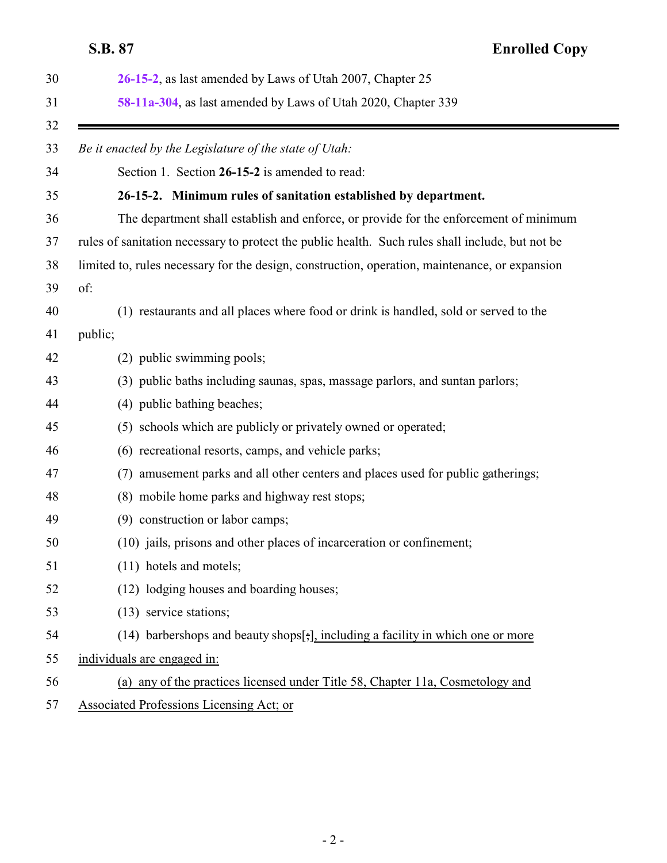<span id="page-1-0"></span>

|    | S.B. 87<br><b>Enrolled Copy</b>                                                                  |
|----|--------------------------------------------------------------------------------------------------|
| 30 | 26-15-2, as last amended by Laws of Utah 2007, Chapter 25                                        |
| 31 | 58-11a-304, as last amended by Laws of Utah 2020, Chapter 339                                    |
| 32 |                                                                                                  |
| 33 | Be it enacted by the Legislature of the state of Utah:                                           |
| 34 | Section 1. Section 26-15-2 is amended to read:                                                   |
| 35 | 26-15-2. Minimum rules of sanitation established by department.                                  |
| 36 | The department shall establish and enforce, or provide for the enforcement of minimum            |
| 37 | rules of sanitation necessary to protect the public health. Such rules shall include, but not be |
| 38 | limited to, rules necessary for the design, construction, operation, maintenance, or expansion   |
| 39 | of:                                                                                              |
| 40 | (1) restaurants and all places where food or drink is handled, sold or served to the             |
| 41 | public;                                                                                          |
| 42 | (2) public swimming pools;                                                                       |
| 43 | (3) public baths including saunas, spas, massage parlors, and suntan parlors;                    |
| 44 | (4) public bathing beaches;                                                                      |
| 45 | (5) schools which are publicly or privately owned or operated;                                   |
| 46 | (6) recreational resorts, camps, and vehicle parks;                                              |
| 47 | amusement parks and all other centers and places used for public gatherings;<br>(7)              |
| 48 | (8) mobile home parks and highway rest stops;                                                    |
| 49 | (9) construction or labor camps;                                                                 |
| 50 | (10) jails, prisons and other places of incarceration or confinement;                            |
| 51 | (11) hotels and motels;                                                                          |
| 52 | (12) lodging houses and boarding houses;                                                         |
| 53 | (13) service stations;                                                                           |
| 54 | (14) barbershops and beauty shops[;], including a facility in which one or more                  |
| 55 | individuals are engaged in:                                                                      |
| 56 | (a) any of the practices licensed under Title 58, Chapter 11a, Cosmetology and                   |
| 57 | Associated Professions Licensing Act; or                                                         |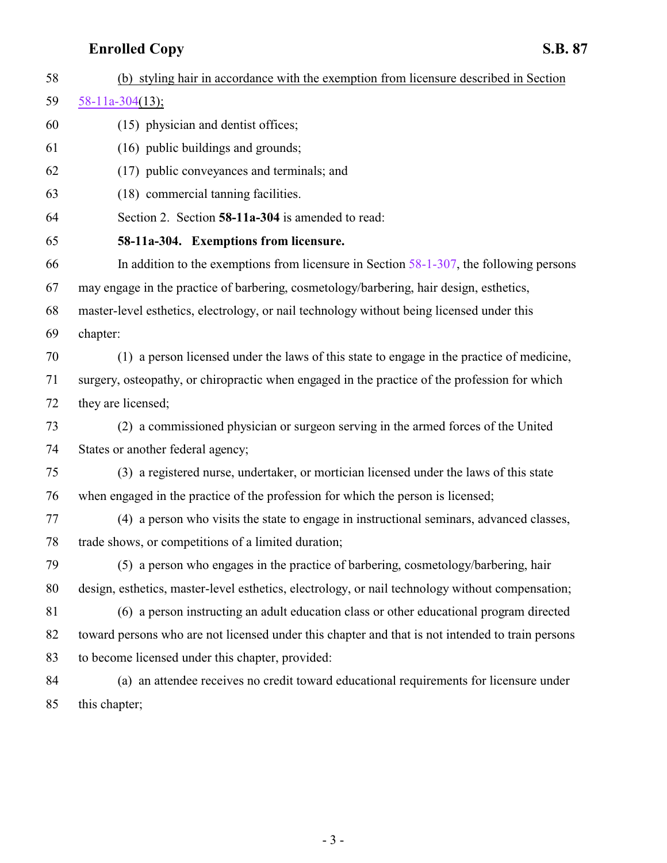# <span id="page-2-0"></span>**Enrolled Copy S.B. 87**

| 58 | (b) styling hair in accordance with the exemption from licensure described in Section            |
|----|--------------------------------------------------------------------------------------------------|
| 59 | $58-11a-304(13);$                                                                                |
| 60 | (15) physician and dentist offices;                                                              |
| 61 | (16) public buildings and grounds;                                                               |
| 62 | (17) public conveyances and terminals; and                                                       |
| 63 | (18) commercial tanning facilities.                                                              |
| 64 | Section 2. Section 58-11a-304 is amended to read:                                                |
| 65 | 58-11a-304. Exemptions from licensure.                                                           |
| 66 | In addition to the exemptions from licensure in Section $58-1-307$ , the following persons       |
| 67 | may engage in the practice of barbering, cosmetology/barbering, hair design, esthetics,          |
| 68 | master-level esthetics, electrology, or nail technology without being licensed under this        |
| 69 | chapter:                                                                                         |
| 70 | (1) a person licensed under the laws of this state to engage in the practice of medicine,        |
| 71 | surgery, osteopathy, or chiropractic when engaged in the practice of the profession for which    |
| 72 | they are licensed;                                                                               |
| 73 | (2) a commissioned physician or surgeon serving in the armed forces of the United                |
| 74 | States or another federal agency;                                                                |
| 75 | (3) a registered nurse, undertaker, or mortician licensed under the laws of this state           |
| 76 | when engaged in the practice of the profession for which the person is licensed;                 |
| 77 | (4) a person who visits the state to engage in instructional seminars, advanced classes,         |
| 78 | trade shows, or competitions of a limited duration;                                              |
| 79 | (5) a person who engages in the practice of barbering, cosmetology/barbering, hair               |
| 80 | design, esthetics, master-level esthetics, electrology, or nail technology without compensation; |
| 81 | (6) a person instructing an adult education class or other educational program directed          |
| 82 | toward persons who are not licensed under this chapter and that is not intended to train persons |
| 83 | to become licensed under this chapter, provided:                                                 |
| 84 | (a) an attendee receives no credit toward educational requirements for licensure under           |
| 85 | this chapter;                                                                                    |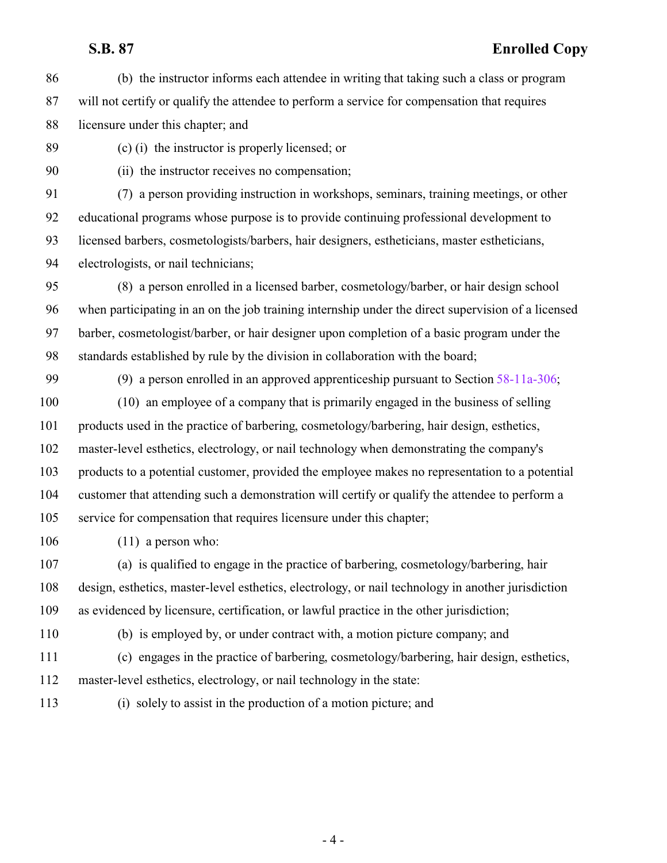### **S.B. 87 Enrolled Copy**

- (b) the instructor informs each attendee in writing that taking such a class or program will not certify or qualify the attendee to perform a service for compensation that requires licensure under this chapter; and
- 

(c) (i) the instructor is properly licensed; or

(ii) the instructor receives no compensation;

 (7) a person providing instruction in workshops, seminars, training meetings, or other educational programs whose purpose is to provide continuing professional development to licensed barbers, cosmetologists/barbers, hair designers, estheticians, master estheticians, electrologists, or nail technicians;

 (8) a person enrolled in a licensed barber, cosmetology/barber, or hair design school when participating in an on the job training internship under the direct supervision of a licensed barber, cosmetologist/barber, or hair designer upon completion of a basic program under the standards established by rule by the division in collaboration with the board;

 (9) a person enrolled in an approved apprenticeship pursuant to Section [58-11a-306](http://le.utah.gov/UtahCode/SectionLookup.jsp?section=58-11a-306&session=2021GS); (10) an employee of a company that is primarily engaged in the business of selling

 products used in the practice of barbering, cosmetology/barbering, hair design, esthetics, master-level esthetics, electrology, or nail technology when demonstrating the company's products to a potential customer, provided the employee makes no representation to a potential customer that attending such a demonstration will certify or qualify the attendee to perform a service for compensation that requires licensure under this chapter;

(11) a person who:

 (a) is qualified to engage in the practice of barbering, cosmetology/barbering, hair design, esthetics, master-level esthetics, electrology, or nail technology in another jurisdiction as evidenced by licensure, certification, or lawful practice in the other jurisdiction;

(b) is employed by, or under contract with, a motion picture company; and

- (c) engages in the practice of barbering, cosmetology/barbering, hair design, esthetics, master-level esthetics, electrology, or nail technology in the state:
- (i) solely to assist in the production of a motion picture; and